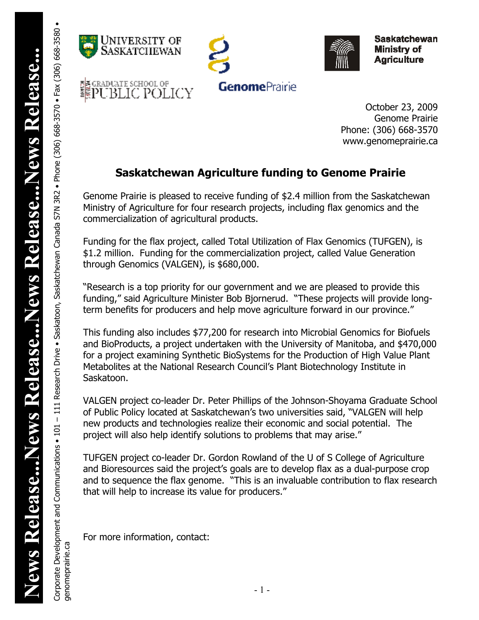Corporate Development and Communications • 101 – 111 Research Drive • Saskatchewan Canada Saskatchewan Canada S7N 3R2 • Phone (306) 668-3570 • Fax (306) 668-3580 •

-111 Research Drive . Saskatoon, Saskatchewan Canada S7N 3R2 . Phone (306) 668-3570 . Fax (306) 668-3580 .

genomeprairie.ca

genomeprairie.ca

Corporate Development and Communications . 101







**Saskatchewan Ministry of Agriculture** 

October 23, 2009 Genome Prairie Phone: (306) 668-3570 www.genomeprairie.ca

## **Saskatchewan Agriculture funding to Genome Prairie**

Genome Prairie is pleased to receive funding of \$2.4 million from the Saskatchewan Ministry of Agriculture for four research projects, including flax genomics and the commercialization of agricultural products.

Funding for the flax project, called Total Utilization of Flax Genomics (TUFGEN), is \$1.2 million. Funding for the commercialization project, called Value Generation through Genomics (VALGEN), is \$680,000.

"Research is a top priority for our government and we are pleased to provide this funding," said Agriculture Minister Bob Bjornerud. "These projects will provide longterm benefits for producers and help move agriculture forward in our province."

This funding also includes \$77,200 for research into Microbial Genomics for Biofuels and BioProducts, a project undertaken with the University of Manitoba, and \$470,000 for a project examining Synthetic BioSystems for the Production of High Value Plant Metabolites at the National Research Council's Plant Biotechnology Institute in Saskatoon.

VALGEN project co-leader Dr. Peter Phillips of the Johnson-Shoyama Graduate School of Public Policy located at Saskatchewan's two universities said, "VALGEN will help new products and technologies realize their economic and social potential. The project will also help identify solutions to problems that may arise."

TUFGEN project co-leader Dr. Gordon Rowland of the U of S College of Agriculture and Bioresources said the project's goals are to develop flax as a dual-purpose crop and to sequence the flax genome. "This is an invaluable contribution to flax research that will help to increase its value for producers."

For more information, contact: